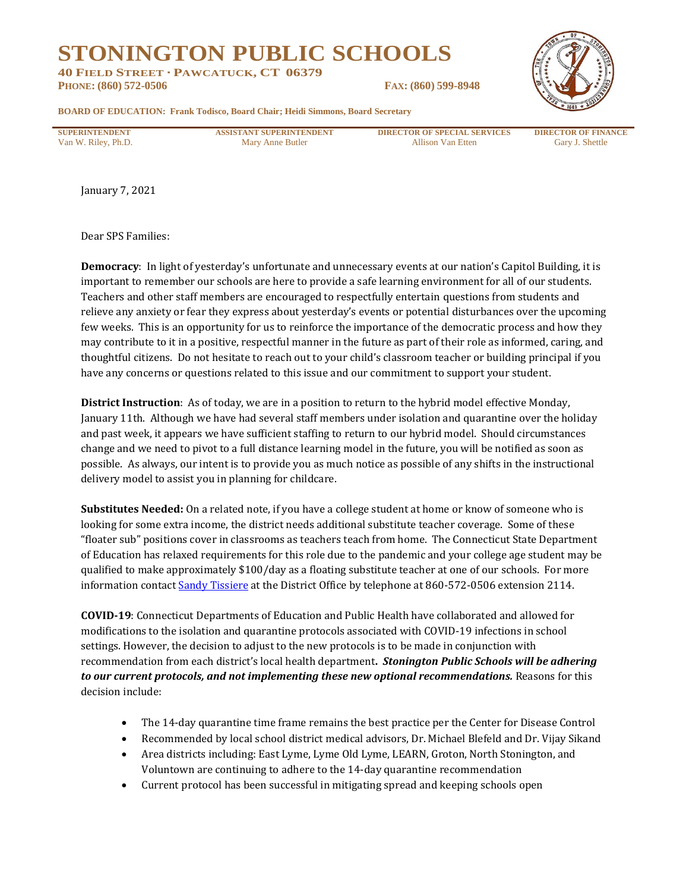## **STONINGTON PUBLIC SCHOOLS**

**40 FIELD STREET · PAWCATUCK, CT 06379 PHONE: (860) 572-0506 FAX: (860) 599-8948**



**BOARD OF EDUCATION: Frank Todisco, Board Chair; Heidi Simmons, Board Secretary**

**SUPERINTENDENT ASSISTANT SUPERINTENDENT DIRECTOR OF SPECIAL SERVICES DIRECTOR OF FINANCE** Van W. Riley, Ph.D. Gary J. Shettle Mary Anne Butler Allison Van Etten Gary J. Shettle

January 7, 2021

Dear SPS Families:

**Democracy**: In light of yesterday's unfortunate and unnecessary events at our nation's Capitol Building, it is important to remember our schools are here to provide a safe learning environment for all of our students. Teachers and other staff members are encouraged to respectfully entertain questions from students and relieve any anxiety or fear they express about yesterday's events or potential disturbances over the upcoming few weeks. This is an opportunity for us to reinforce the importance of the democratic process and how they may contribute to it in a positive, respectful manner in the future as part of their role as informed, caring, and thoughtful citizens. Do not hesitate to reach out to your child's classroom teacher or building principal if you have any concerns or questions related to this issue and our commitment to support your student.

**District Instruction**: As of today, we are in a position to return to the hybrid model effective Monday, January 11th. Although we have had several staff members under isolation and quarantine over the holiday and past week, it appears we have sufficient staffing to return to our hybrid model. Should circumstances change and we need to pivot to a full distance learning model in the future, you will be notified as soon as possible. As always, our intent is to provide you as much notice as possible of any shifts in the instructional delivery model to assist you in planning for childcare.

**Substitutes Needed:** On a related note, if you have a college student at home or know of someone who is looking for some extra income, the district needs additional substitute teacher coverage. Some of these "floater sub" positions cover in classrooms as teachers teach from home. The Connecticut State Department of Education has relaxed requirements for this role due to the pandemic and your college age student may be qualified to make approximately \$100/day as a floating substitute teacher at one of our schools. For more information contact [Sandy Tissiere](mailto:sgoddette@stoningtonschools.org) at the District Office by telephone at 860-572-0506 extension 2114.

**COVID-19**: Connecticut Departments of Education and Public Health have collaborated and allowed for modifications to the isolation and quarantine protocols associated with COVID-19 infections in school settings. However, the decision to adjust to the new protocols is to be made in conjunction with recommendation from each district's local health department**.** *Stonington Public Schools will be adhering to our current protocols, and not implementing these new optional recommendations.* Reasons for this decision include:

- The 14-day quarantine time frame remains the best practice per the Center for Disease Control
- Recommended by local school district medical advisors, Dr. Michael Blefeld and Dr. Vijay Sikand
- Area districts including: East Lyme, Lyme Old Lyme, LEARN, Groton, North Stonington, and Voluntown are continuing to adhere to the 14-day quarantine recommendation
- Current protocol has been successful in mitigating spread and keeping schools open